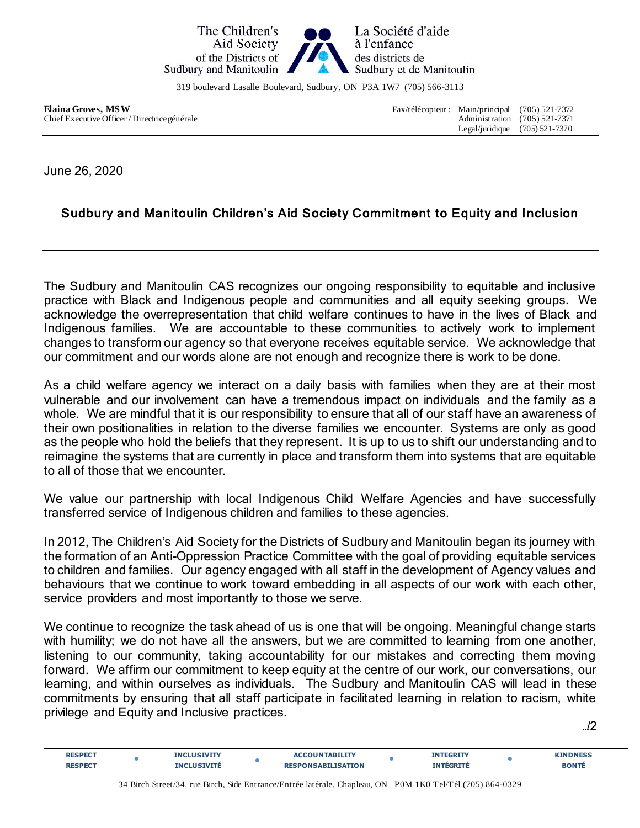

319 boulevard Lasalle Boulevard, Sudbury, ON P3A 1W7 (705) 566-3113

Chief Executive Officer / Directrice générale

**Elaina Groves, MSW**<br>Chief Executive Officer / Directrice générale<br>Administration (705) 521-7371<br>Administration (705) 521-7371 Legal/juridique (705) 521-7370

June 26, 2020

## Sudbury and Manitoulin Children's Aid Society Commitment to Equity and Inclusion

The Sudbury and Manitoulin CAS recognizes our ongoing responsibility to equitable and inclusive practice with Black and Indigenous people and communities and all equity seeking groups. We acknowledge the overrepresentation that child welfare continues to have in the lives of Black and Indigenous families. We are accountable to these communities to actively work to implement changes to transform our agency so that everyone receives equitable service. We acknowledge that our commitment and our words alone are not enough and recognize there is work to be done.

As a child welfare agency we interact on a daily basis with families when they are at their most vulnerable and our involvement can have a tremendous impact on individuals and the family as a whole. We are mindful that it is our responsibility to ensure that all of our staff have an awareness of their own positionalities in relation to the diverse families we encounter. Systems are only as good as the people who hold the beliefs that they represent. It is up to us to shift our understanding and to reimagine the systems that are currently in place and transform them into systems that are equitable to all of those that we encounter.

We value our partnership with local Indigenous Child Welfare Agencies and have successfully transferred service of Indigenous children and families to these agencies.

In 2012, The Children's Aid Society for the Districts of Sudbury and Manitoulin began its journey with the formation of an Anti-Oppression Practice Committee with the goal of providing equitable services to children and families. Our agency engaged with all staff in the development of Agency values and behaviours that we continue to work toward embedding in all aspects of our work with each other, service providers and most importantly to those we serve.

We continue to recognize the task ahead of us is one that will be ongoing. Meaningful change starts with humility; we do not have all the answers, but we are committed to learning from one another, listening to our community, taking accountability for our mistakes and correcting them moving forward. We affirm our commitment to keep equity at the centre of our work, our conversations, our learning, and within ourselves as individuals. The Sudbury and Manitoulin CAS will lead in these commitments by ensuring that all staff participate in facilitated learning in relation to racism, white privilege and Equity and Inclusive practices.

…/2

| D EG          |  |     | the contract of the contract of the contract of the contract of the contract of |  | $ - - -$ |
|---------------|--|-----|---------------------------------------------------------------------------------|--|----------|
| <b>DECDEC</b> |  | ΊΩΝ |                                                                                 |  |          |